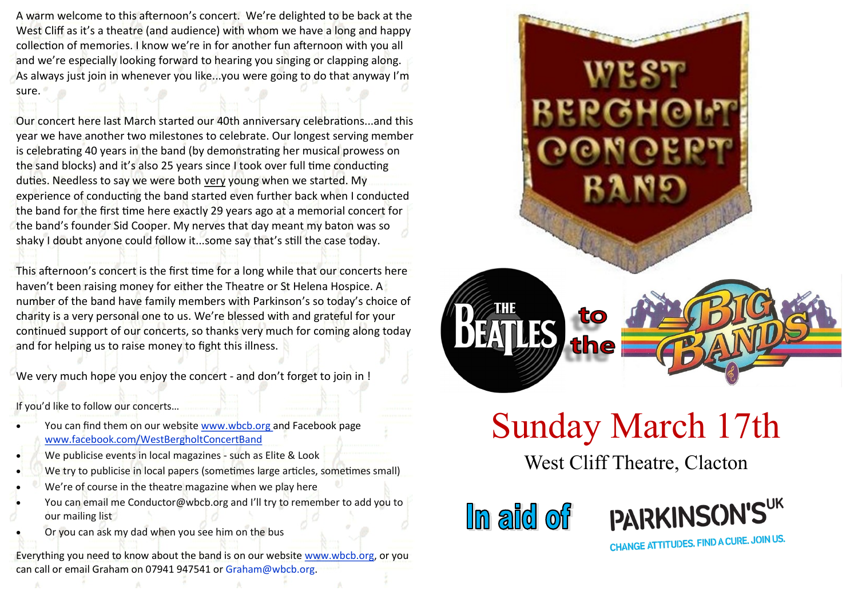A warm welcome to this afternoon's concert. We're delighted to be back at the West Cliff as it's a theatre (and audience) with whom we have a long and happy collection of memories. I know we're in for another fun afternoon with you all and we're especially looking forward to hearing you singing or clapping along. As always just join in whenever you like...you were going to do that anyway I'm sure.

Our concert here last March started our 40th anniversary celebrations...and this year we have another two milestones to celebrate. Our longest serving member is celebrating 40 years in the band (by demonstrating her musical prowess on the sand blocks) and it's also 25 years since I took over full time conducting duties. Needless to say we were both very young when we started. My experience of conducting the band started even further back when I conducted the band for the first time here exactly 29 years ago at a memorial concert for the band's founder Sid Cooper. My nerves that day meant my baton was so shaky I doubt anyone could follow it...some say that's still the case today.

This afternoon's concert is the first time for a long while that our concerts here haven't been raising money for either the Theatre or St Helena Hospice. A number of the band have family members with Parkinson's so today's choice of charity is a very personal one to us. We're blessed with and grateful for your continued support of our concerts, so thanks very much for coming along today and for helping us to raise money to fight this illness.

We very much hope you enjoy the concert - and don't forget to join in !

If you'd like to follow our concerts…

- You can find them on our website www.wbcb.org and Facebook page www.facebook.com/WestBergholtConcertBand
- We publicise events in local magazines such as Elite & Look
- We try to publicise in local papers (sometimes large articles, sometimes small)
- We're of course in the theatre magazine when we play here
- You can email me Conductor@wbcb.org and I'll try to remember to add you to our mailing list
	- Or you can ask my dad when you see him on the bus

Everything you need to know about the band is on our website www.wbcb.org, or you can call or email Graham on 07941 947541 or Graham@wbcb.org.



## Sunday March 17th

West Cliff Theatre, Clacton

**In aid of** 



CHANGE ATTITUDES. FIND A CURE. JOIN US.